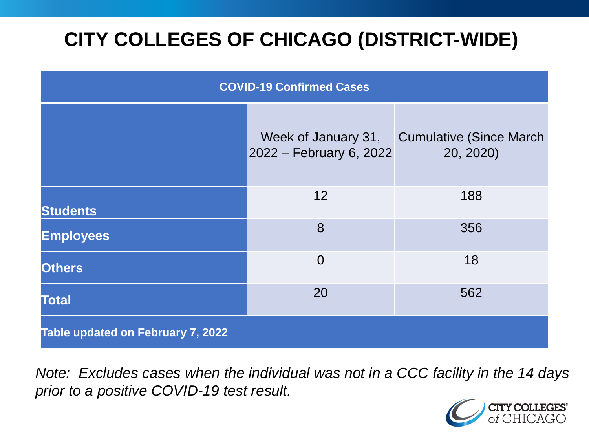# **CITY COLLEGES OF CHICAGO (DISTRICT-WIDE)**

| <b>COVID-19 Confirmed Cases</b>   |                                                |                                              |
|-----------------------------------|------------------------------------------------|----------------------------------------------|
|                                   | Week of January 31,<br>2022 – February 6, 2022 | <b>Cumulative (Since March)</b><br>20, 2020) |
| <b>Students</b>                   | 12                                             | 188                                          |
| <b>Employees</b>                  | 8                                              | 356                                          |
| <b>Others</b>                     | $\overline{0}$                                 | 18                                           |
| <b>Total</b>                      | 20                                             | 562                                          |
| Table updated on February 7, 2022 |                                                |                                              |

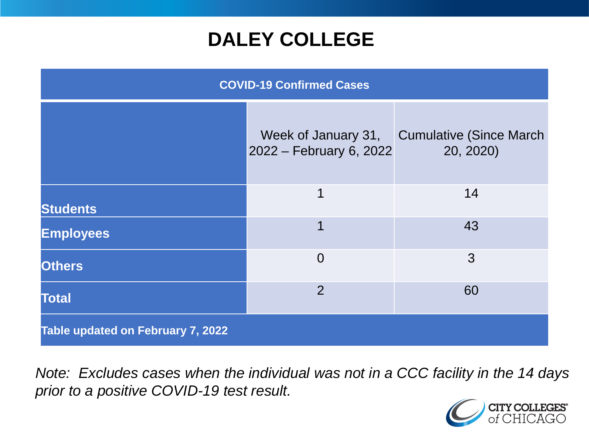### **DALEY COLLEGE**

| <b>COVID-19 Confirmed Cases</b>          |                                                |                                              |
|------------------------------------------|------------------------------------------------|----------------------------------------------|
|                                          | Week of January 31,<br>2022 – February 6, 2022 | <b>Cumulative (Since March)</b><br>20, 2020) |
| <b>Students</b>                          | 1                                              | 14                                           |
| <b>Employees</b>                         | 1                                              | 43                                           |
| <b>Others</b>                            | $\overline{0}$                                 | 3                                            |
| <b>Total</b>                             | $\overline{2}$                                 | 60                                           |
| <b>Table updated on February 7, 2022</b> |                                                |                                              |

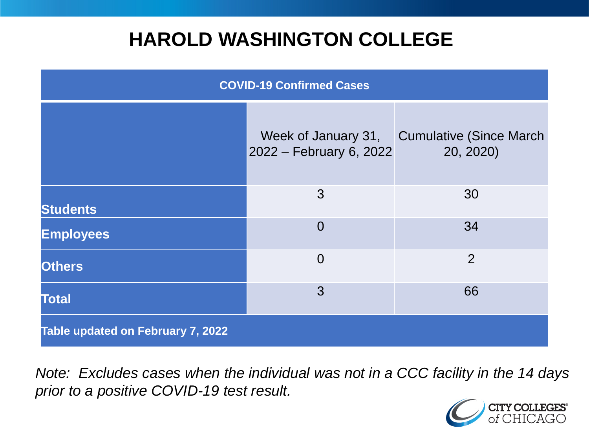### **HAROLD WASHINGTON COLLEGE**

| <b>COVID-19 Confirmed Cases</b>   |                                                |                                              |
|-----------------------------------|------------------------------------------------|----------------------------------------------|
|                                   | Week of January 31,<br>2022 – February 6, 2022 | <b>Cumulative (Since March)</b><br>20, 2020) |
| <b>Students</b>                   | 3                                              | 30                                           |
| <b>Employees</b>                  | $\Omega$                                       | 34                                           |
| <b>Others</b>                     | $\overline{0}$                                 | $\overline{2}$                               |
| <b>Total</b>                      | 3                                              | 66                                           |
| Table updated on February 7, 2022 |                                                |                                              |

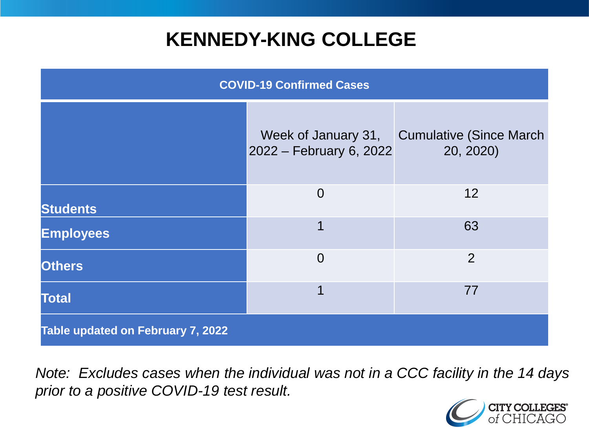### **KENNEDY-KING COLLEGE**

| <b>COVID-19 Confirmed Cases</b>   |                                                |                                              |
|-----------------------------------|------------------------------------------------|----------------------------------------------|
|                                   | Week of January 31,<br>2022 – February 6, 2022 | <b>Cumulative (Since March)</b><br>20, 2020) |
| <b>Students</b>                   | $\overline{0}$                                 | 12                                           |
| <b>Employees</b>                  | 1                                              | 63                                           |
| <b>Others</b>                     | $\overline{0}$                                 | $\overline{2}$                               |
| <b>Total</b>                      | 1                                              | 77                                           |
| Table updated on February 7, 2022 |                                                |                                              |

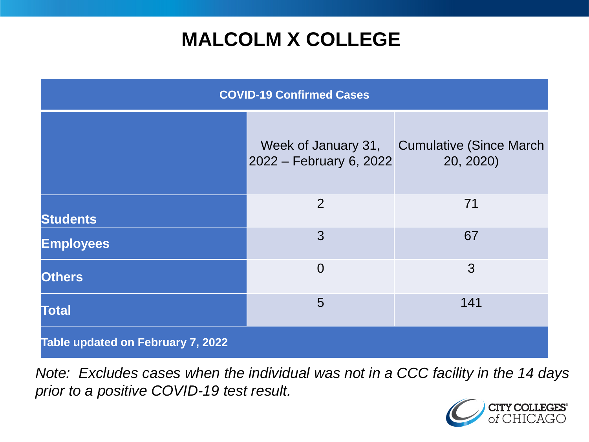## **MALCOLM X COLLEGE**

| <b>COVID-19 Confirmed Cases</b>   |                                                |                                              |
|-----------------------------------|------------------------------------------------|----------------------------------------------|
|                                   | Week of January 31,<br>2022 – February 6, 2022 | <b>Cumulative (Since March)</b><br>20, 2020) |
| <b>Students</b>                   | 2                                              | 71                                           |
| <b>Employees</b>                  | 3                                              | 67                                           |
| <b>Others</b>                     | $\overline{0}$                                 | 3                                            |
| <b>Total</b>                      | 5                                              | 141                                          |
| Table updated on February 7, 2022 |                                                |                                              |

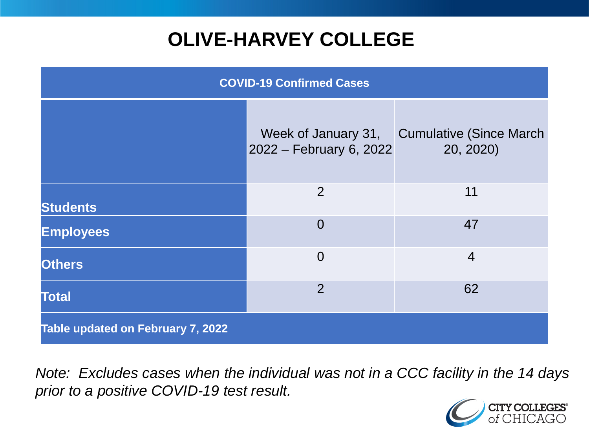# **OLIVE-HARVEY COLLEGE**

| <b>COVID-19 Confirmed Cases</b>   |                                                |                                              |
|-----------------------------------|------------------------------------------------|----------------------------------------------|
|                                   | Week of January 31,<br>2022 – February 6, 2022 | <b>Cumulative (Since March)</b><br>20, 2020) |
| <b>Students</b>                   | 2                                              | 11                                           |
| <b>Employees</b>                  | $\overline{0}$                                 | 47                                           |
| <b>Others</b>                     | $\overline{0}$                                 | $\overline{4}$                               |
| <b>Total</b>                      | 2                                              | 62                                           |
| Table updated on February 7, 2022 |                                                |                                              |

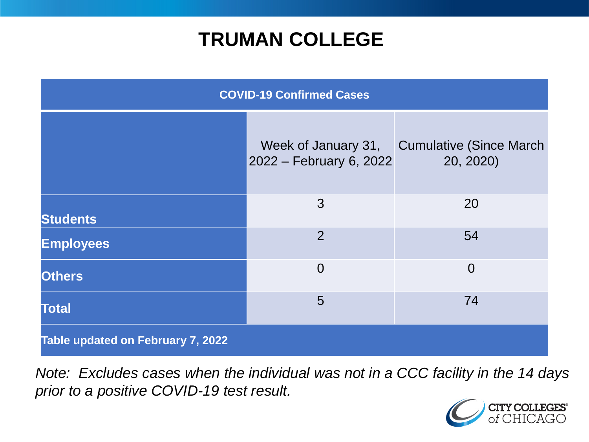### **TRUMAN COLLEGE**

| <b>COVID-19 Confirmed Cases</b>   |                                                |                                              |
|-----------------------------------|------------------------------------------------|----------------------------------------------|
|                                   | Week of January 31,<br>2022 – February 6, 2022 | <b>Cumulative (Since March)</b><br>20, 2020) |
| <b>Students</b>                   | 3                                              | 20                                           |
| <b>Employees</b>                  | $\overline{2}$                                 | 54                                           |
| <b>Others</b>                     | $\overline{0}$                                 | $\overline{0}$                               |
| <b>Total</b>                      | 5                                              | 74                                           |
| Table updated on February 7, 2022 |                                                |                                              |

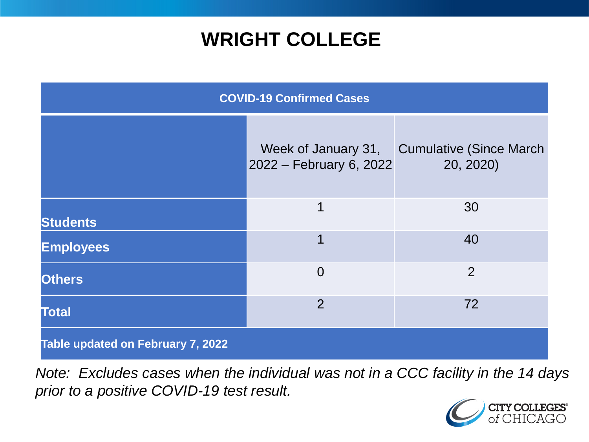### **WRIGHT COLLEGE**

| <b>COVID-19 Confirmed Cases</b>   |                                                |                                              |
|-----------------------------------|------------------------------------------------|----------------------------------------------|
|                                   | Week of January 31,<br>2022 – February 6, 2022 | <b>Cumulative (Since March)</b><br>20, 2020) |
| <b>Students</b>                   | 1                                              | 30                                           |
| <b>Employees</b>                  | $\overline{\mathbf{1}}$                        | 40                                           |
| <b>Others</b>                     | $\overline{0}$                                 | $\overline{2}$                               |
| <b>Total</b>                      | $\overline{2}$                                 | 72                                           |
| Table updated on February 7, 2022 |                                                |                                              |

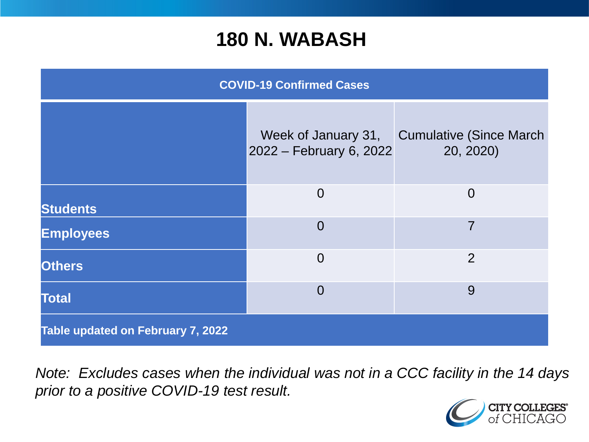#### **180 N. WABASH**

| <b>COVID-19 Confirmed Cases</b>   |                                                |                                              |
|-----------------------------------|------------------------------------------------|----------------------------------------------|
|                                   | Week of January 31,<br>2022 – February 6, 2022 | <b>Cumulative (Since March)</b><br>20, 2020) |
| <b>Students</b>                   | $\overline{0}$                                 | $\overline{0}$                               |
| <b>Employees</b>                  | $\Omega$                                       | $\overline{7}$                               |
| <b>Others</b>                     | $\overline{0}$                                 | $\overline{2}$                               |
| <b>Total</b>                      | $\overline{0}$                                 | 9                                            |
| Table updated on February 7, 2022 |                                                |                                              |